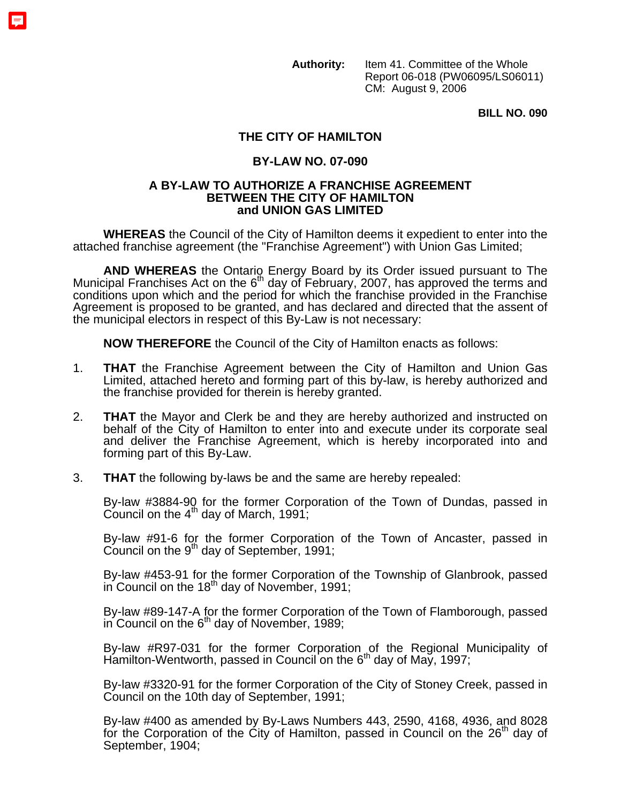**Authority:** Item 41. Committee of the Whole Report 06-018 (PW06095/LS06011) CM: August 9, 2006

**BILL NO. 090** 

## **THE CITY OF HAMILTON**

## **BY-LAW NO. 07-090**

## **A BY-LAW TO AUTHORIZE A FRANCHISE AGREEMENT BETWEEN THE CITY OF HAMILTON and UNION GAS LIMITED**

**WHEREAS** the Council of the City of Hamilton deems it expedient to enter into the attached franchise agreement (the "Franchise Agreement") with Union Gas Limited;

AND WHEREAS the Ontario Energy Board by its Order issued pursuant to The Municipal Franchises Act on the  $6<sup>th</sup>$  day of February, 2007, has approved the terms and conditions upon which and the period for which the franchise provided in the Franchise Agreement is proposed to be granted, and has declared and directed that the assent of the municipal electors in respect of this By-Law is not necessary:

**NOW THEREFORE** the Council of the City of Hamilton enacts as follows:

- 1. **THAT** the Franchise Agreement between the City of Hamilton and Union Gas Limited, attached hereto and forming part of this by-law, is hereby authorized and the franchise provided for therein is hereby granted.
- 2. **THAT** the Mayor and Clerk be and they are hereby authorized and instructed on behalf of the City of Hamilton to enter into and execute under its corporate seal and deliver the Franchise Agreement, which is hereby incorporated into and forming part of this By-Law.
- 3. **THAT** the following by-laws be and the same are hereby repealed:

By-law #3884-90 for the former Corporation of the Town of Dundas, passed in Council on the  $4<sup>th</sup>$  day of March, 1991;

By-law #91-6 for the former Corporation of the Town of Ancaster, passed in Council on the  $9<sup>th</sup>$  day of September, 1991;

By-law #453-91 for the former Corporation of the Township of Glanbrook, passed in Council on the  $18<sup>th</sup>$  day of November, 1991;

By-law #89-147-A for the former Corporation of the Town of Flamborough, passed in Council on the  $6<sup>th</sup>$  day of November, 1989;

By-law #R97-031 for the former Corporation of the Regional Municipality of Hamilton-Wentworth, passed in Council on the  $6<sup>th</sup>$  day of May, 1997;

By-law #3320-91 for the former Corporation of the City of Stoney Creek, passed in Council on the 10th day of September, 1991;

By-law #400 as amended by By-Laws Numbers 443, 2590, 4168, 4936, and 8028 for the Corporation of the City of Hamilton, passed in Council on the  $26<sup>th</sup>$  day of September, 1904;